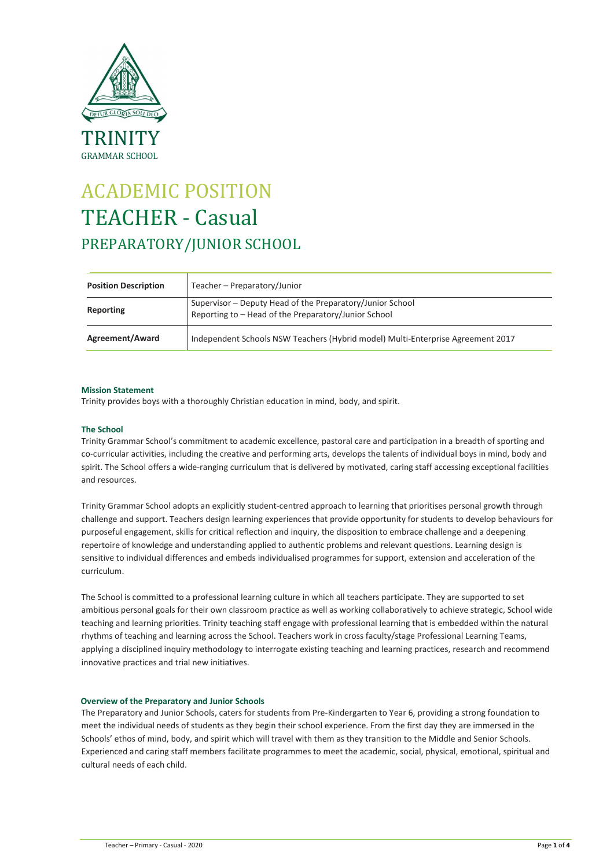

# ACADEMIC POSITION TEACHER - Casual PREPARATORY/JUNIOR SCHOOL

| <b>Position Description</b> | Teacher - Preparatory/Junior                                                                                      |
|-----------------------------|-------------------------------------------------------------------------------------------------------------------|
| Reporting                   | Supervisor - Deputy Head of the Preparatory/Junior School<br>Reporting to - Head of the Preparatory/Junior School |
| Agreement/Award             | Independent Schools NSW Teachers (Hybrid model) Multi-Enterprise Agreement 2017                                   |

# Mission Statement

Trinity provides boys with a thoroughly Christian education in mind, body, and spirit.

# The School

Trinity Grammar School's commitment to academic excellence, pastoral care and participation in a breadth of sporting and co-curricular activities, including the creative and performing arts, develops the talents of individual boys in mind, body and spirit. The School offers a wide-ranging curriculum that is delivered by motivated, caring staff accessing exceptional facilities and resources.

Trinity Grammar School adopts an explicitly student-centred approach to learning that prioritises personal growth through challenge and support. Teachers design learning experiences that provide opportunity for students to develop behaviours for purposeful engagement, skills for critical reflection and inquiry, the disposition to embrace challenge and a deepening repertoire of knowledge and understanding applied to authentic problems and relevant questions. Learning design is sensitive to individual differences and embeds individualised programmes for support, extension and acceleration of the curriculum.

The School is committed to a professional learning culture in which all teachers participate. They are supported to set ambitious personal goals for their own classroom practice as well as working collaboratively to achieve strategic, School wide teaching and learning priorities. Trinity teaching staff engage with professional learning that is embedded within the natural rhythms of teaching and learning across the School. Teachers work in cross faculty/stage Professional Learning Teams, applying a disciplined inquiry methodology to interrogate existing teaching and learning practices, research and recommend innovative practices and trial new initiatives.

# Overview of the Preparatory and Junior Schools

The Preparatory and Junior Schools, caters for students from Pre-Kindergarten to Year 6, providing a strong foundation to meet the individual needs of students as they begin their school experience. From the first day they are immersed in the Schools' ethos of mind, body, and spirit which will travel with them as they transition to the Middle and Senior Schools. Experienced and caring staff members facilitate programmes to meet the academic, social, physical, emotional, spiritual and cultural needs of each child.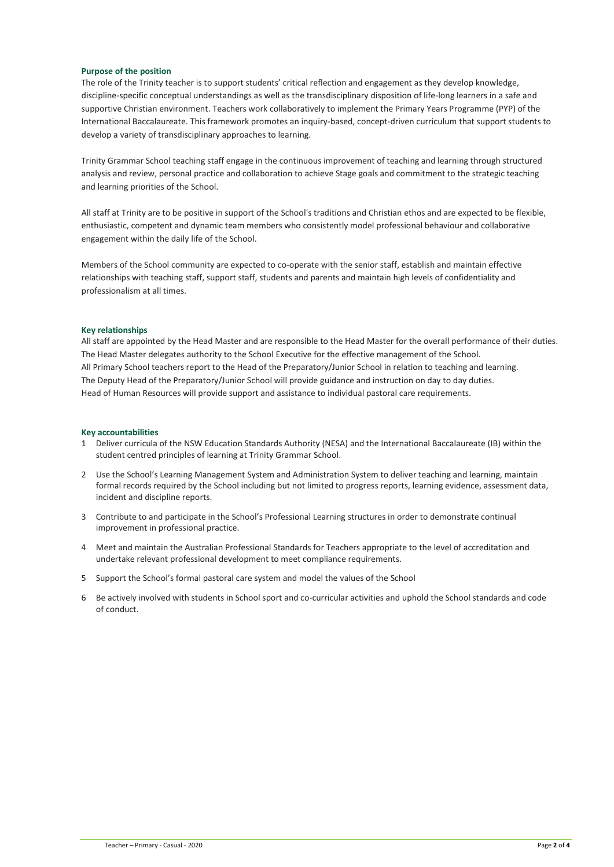### Purpose of the position

The role of the Trinity teacher is to support students' critical reflection and engagement as they develop knowledge, discipline-specific conceptual understandings as well as the transdisciplinary disposition of life-long learners in a safe and supportive Christian environment. Teachers work collaboratively to implement the Primary Years Programme (PYP) of the International Baccalaureate. This framework promotes an inquiry-based, concept-driven curriculum that support students to develop a variety of transdisciplinary approaches to learning.

Trinity Grammar School teaching staff engage in the continuous improvement of teaching and learning through structured analysis and review, personal practice and collaboration to achieve Stage goals and commitment to the strategic teaching and learning priorities of the School.

All staff at Trinity are to be positive in support of the School's traditions and Christian ethos and are expected to be flexible, enthusiastic, competent and dynamic team members who consistently model professional behaviour and collaborative engagement within the daily life of the School.

Members of the School community are expected to co-operate with the senior staff, establish and maintain effective relationships with teaching staff, support staff, students and parents and maintain high levels of confidentiality and professionalism at all times.

## Key relationships

All staff are appointed by the Head Master and are responsible to the Head Master for the overall performance of their duties. The Head Master delegates authority to the School Executive for the effective management of the School. All Primary School teachers report to the Head of the Preparatory/Junior School in relation to teaching and learning. The Deputy Head of the Preparatory/Junior School will provide guidance and instruction on day to day duties. Head of Human Resources will provide support and assistance to individual pastoral care requirements.

### Key accountabilities

- 1 Deliver curricula of the NSW Education Standards Authority (NESA) and the International Baccalaureate (IB) within the student centred principles of learning at Trinity Grammar School.
- 2 Use the School's Learning Management System and Administration System to deliver teaching and learning, maintain formal records required by the School including but not limited to progress reports, learning evidence, assessment data, incident and discipline reports.
- 3 Contribute to and participate in the School's Professional Learning structures in order to demonstrate continual improvement in professional practice.
- 4 Meet and maintain the Australian Professional Standards for Teachers appropriate to the level of accreditation and undertake relevant professional development to meet compliance requirements.
- 5 Support the School's formal pastoral care system and model the values of the School
- 6 Be actively involved with students in School sport and co-curricular activities and uphold the School standards and code of conduct.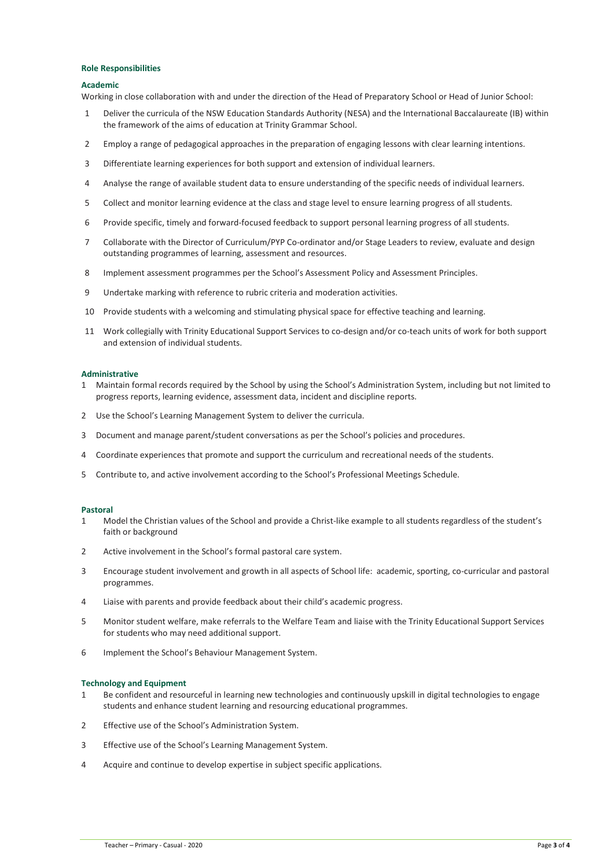### Role Responsibilities

## Academic

Working in close collaboration with and under the direction of the Head of Preparatory School or Head of Junior School:

- Deliver the curricula of the NSW Education Standards Authority (NESA) and the International Baccalaureate (IB) within the framework of the aims of education at Trinity Grammar School.
- Employ a range of pedagogical approaches in the preparation of engaging lessons with clear learning intentions.
- Differentiate learning experiences for both support and extension of individual learners.
- Analyse the range of available student data to ensure understanding of the specific needs of individual learners.
- Collect and monitor learning evidence at the class and stage level to ensure learning progress of all students.
- Provide specific, timely and forward-focused feedback to support personal learning progress of all students.
- Collaborate with the Director of Curriculum/PYP Co-ordinator and/or Stage Leaders to review, evaluate and design outstanding programmes of learning, assessment and resources.
- 8 Implement assessment programmes per the School's Assessment Policy and Assessment Principles.
- Undertake marking with reference to rubric criteria and moderation activities.
- Provide students with a welcoming and stimulating physical space for effective teaching and learning.
- Work collegially with Trinity Educational Support Services to co-design and/or co-teach units of work for both support and extension of individual students.

## Administrative

- Maintain formal records required by the School by using the School's Administration System, including but not limited to progress reports, learning evidence, assessment data, incident and discipline reports.
- Use the School's Learning Management System to deliver the curricula.
- Document and manage parent/student conversations as per the School's policies and procedures.
- Coordinate experiences that promote and support the curriculum and recreational needs of the students.
- Contribute to, and active involvement according to the School's Professional Meetings Schedule.

#### Pastoral

- Model the Christian values of the School and provide a Christ-like example to all students regardless of the student's faith or background
- Active involvement in the School's formal pastoral care system.
- Encourage student involvement and growth in all aspects of School life: academic, sporting, co-curricular and pastoral programmes.
- Liaise with parents and provide feedback about their child's academic progress.
- Monitor student welfare, make referrals to the Welfare Team and liaise with the Trinity Educational Support Services for students who may need additional support.
- Implement the School's Behaviour Management System.

# Technology and Equipment

- Be confident and resourceful in learning new technologies and continuously upskill in digital technologies to engage students and enhance student learning and resourcing educational programmes.
- Effective use of the School's Administration System.
- Effective use of the School's Learning Management System.
- Acquire and continue to develop expertise in subject specific applications.